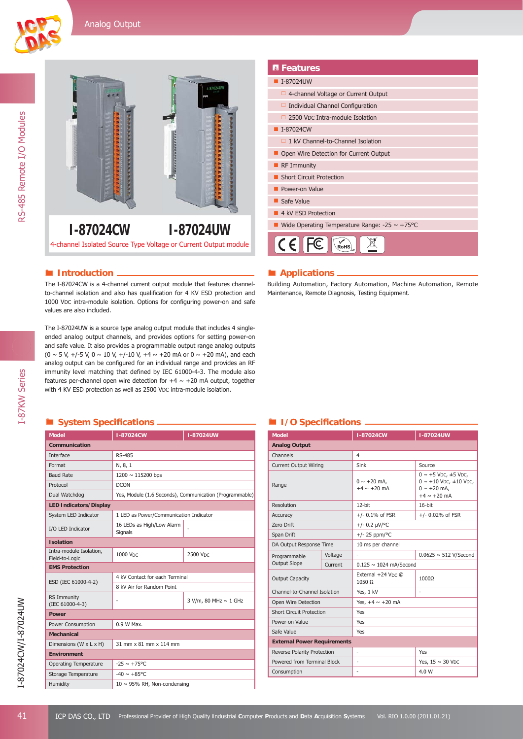



I-87KW Series

I-87KW Series



4-channel Isolated Source Type Voltage or Current Output module

The I-87024CW is a 4-channel current output module that features channelto-channel isolation and also has qualification for 4 KV ESD protection and 1000 VDC intra-module isolation. Options for configuring power-on and safe values are also included.

The I-87024UW is a source type analog output module that includes 4 singleended analog output channels, and provides options for setting power-on and safe value. It also provides a programmable output range analog outputs  $(0 \sim 5 \text{ V}, +/-5 \text{ V}, 0 \sim 10 \text{ V}, +/-10 \text{ V}, +4 \sim +20 \text{ mA} \text{ or } 0 \sim +20 \text{ mA}$ , and each analog output can be configured for an individual range and provides an RF immunity level matching that defined by IEC 61000-4-3. The module also features per-channel open wire detection for  $+4 \sim +20$  mA output, together with 4 KV ESD protection as well as 2500 VDC intra-module isolation.

# **System Specifi cations I/O Specifi cations**

| <b>Model</b>                              | I-87024CW                                               | <b>I-87024UW</b>      |  |  |
|-------------------------------------------|---------------------------------------------------------|-----------------------|--|--|
| <b>Communication</b>                      |                                                         |                       |  |  |
| Interface                                 | <b>RS-485</b>                                           |                       |  |  |
| Format                                    | N, 8, 1                                                 |                       |  |  |
| <b>Baud Rate</b>                          | 1200 $\sim$ 115200 bps                                  |                       |  |  |
| Protocol                                  | <b>DCON</b>                                             |                       |  |  |
| Dual Watchdog                             | Yes, Module (1.6 Seconds), Communication (Programmable) |                       |  |  |
| <b>LED Indicators/Display</b>             |                                                         |                       |  |  |
| System LED Indicator                      | 1 LED as Power/Communication Indicator                  |                       |  |  |
| I/O LED Indicator                         | 16 LEDs as High/Low Alarm<br>Signals                    |                       |  |  |
| <b>Isolation</b>                          |                                                         |                       |  |  |
| Intra-module Isolation,<br>Field-to-Logic | 1000 VDC                                                | 2500 VDC              |  |  |
| <b>EMS Protection</b>                     |                                                         |                       |  |  |
|                                           | 4 kV Contact for each Terminal                          |                       |  |  |
| ESD (IEC 61000-4-2)                       | 8 kV Air for Random Point                               |                       |  |  |
| <b>RS Immunity</b><br>(IEC 61000-4-3)     | ٠                                                       | 3 V/m, 80 MHz ~ 1 GHz |  |  |
| Power                                     |                                                         |                       |  |  |
| Power Consumption                         | 0.9 W Max.                                              |                       |  |  |
| <b>Mechanical</b>                         |                                                         |                       |  |  |
| Dimensions (W x L x H)                    | 31 mm x 81 mm x 114 mm                                  |                       |  |  |
| <b>Environment</b>                        |                                                         |                       |  |  |
| <b>Operating Temperature</b>              | $-25 \sim +75^{\circ}$ C                                |                       |  |  |
| Storage Temperature                       | $-40 \sim +85^{\circ}$ C                                |                       |  |  |
| Humidity                                  | $10 \sim 95\%$ RH, Non-condensing                       |                       |  |  |
|                                           |                                                         |                       |  |  |

| <b>B</b> Features                                  |  |  |
|----------------------------------------------------|--|--|
| I-87024UW                                          |  |  |
| $\Box$ 4-channel Voltage or Current Output         |  |  |
| $\Box$ Individual Channel Configuration            |  |  |
| 2500 VDC Intra-module Isolation                    |  |  |
| I-87024CW                                          |  |  |
| 1 kV Channel-to-Channel Isolation<br>0             |  |  |
| Open Wire Detection for Current Output             |  |  |
| <b>RF Immunity</b>                                 |  |  |
| <b>Short Circuit Protection</b>                    |  |  |
| Power-on Value                                     |  |  |
| Safe Value                                         |  |  |
| 4 kV ESD Protection                                |  |  |
| Wide Operating Temperature Range: -25 $\sim$ +75°C |  |  |
|                                                    |  |  |

### **Introduction** *Applications*

Building Automation, Factory Automation, Machine Automation, Remote Maintenance, Remote Diagnosis, Testing Equipment.

| <b>Model</b>                       |         | I-87024CW                            | <b>I-87024UW</b>                                                                                                                   |  |
|------------------------------------|---------|--------------------------------------|------------------------------------------------------------------------------------------------------------------------------------|--|
| <b>Analog Output</b>               |         |                                      |                                                                                                                                    |  |
| Channels                           |         | 4                                    |                                                                                                                                    |  |
| <b>Current Output Wiring</b>       |         | Sink                                 | Source                                                                                                                             |  |
| Range                              |         | $0 \sim +20$ mA,<br>$+4 \sim +20$ mA | $0 \sim +5$ V <sub>DC</sub> , $\pm 5$ V <sub>DC</sub> ,<br>$0 \sim +10$ VDC, $\pm 10$ VDC,<br>$0 \sim +20$ mA.<br>$+4 \sim +20$ mA |  |
| Resolution                         |         | $12$ -bit                            | $16$ -bit                                                                                                                          |  |
| Accuracy                           |         | $+/- 0.1\%$ of FSR                   | $+/- 0.02%$ of FSR                                                                                                                 |  |
| Zero Drift                         |         | $+/- 0.2 \mu V$ /°C                  |                                                                                                                                    |  |
| Span Drift                         |         | $+/- 25$ ppm/°C                      |                                                                                                                                    |  |
| DA Output Response Time            |         | 10 ms per channel                    |                                                                                                                                    |  |
| Programmable                       | Voltage | ÷.                                   | $0.0625 \sim 512$ V/Second                                                                                                         |  |
| <b>Output Slope</b>                | Current | $0.125 \sim 1024$ mA/Second          |                                                                                                                                    |  |
| <b>Output Capacity</b>             |         | External $+24$ Vnc $@$<br>1050 Ω     | 1000Ω                                                                                                                              |  |
| Channel-to-Channel Isolation       |         | Yes, 1 kV                            |                                                                                                                                    |  |
| Open Wire Detection                |         | Yes, $+4 \sim +20$ mA                |                                                                                                                                    |  |
| <b>Short Circuit Protection</b>    |         | Yes                                  |                                                                                                                                    |  |
| Power-on Value                     |         | Yes                                  |                                                                                                                                    |  |
| Safe Value                         |         | Yes                                  |                                                                                                                                    |  |
| <b>External Power Requirements</b> |         |                                      |                                                                                                                                    |  |
| Reverse Polarity Protection        |         | ٠                                    | Yes                                                                                                                                |  |
| Powered from Terminal Block        |         |                                      | Yes, $15 \sim 30$ V <sub>DC</sub>                                                                                                  |  |
| Consumption                        |         |                                      | 4.0 W                                                                                                                              |  |